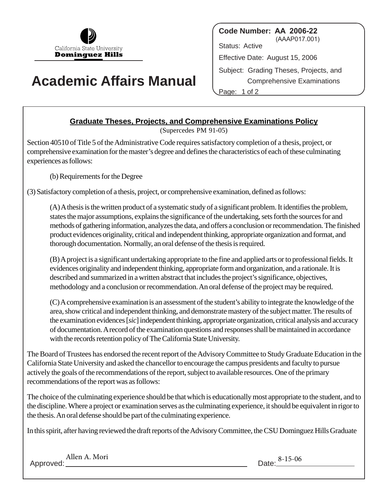

## **Academic Affairs Manual**

**Code Number: AA 2006-22** (AAAP017.001) Status: Active Effective Date: August 15, 2006 Subject: Grading Theses, Projects, and Comprehensive Examinations Page: 1 of 2

## **Graduate Theses, Projects, and Comprehensive Examinations Policy**

(Supercedes PM 91-05)

Section 40510 of Title 5 of the Administrative Code requires satisfactory completion of a thesis, project, or comprehensive examination for the master's degree and defines the characteristics of each of these culminating experiences as follows:

(b) Requirements for the Degree

(3) Satisfactory completion of a thesis, project, or comprehensive examination, defined as follows:

(A)A thesis is the written product of a systematic study of a significant problem. It identifies the problem, states the major assumptions, explains the significance of the undertaking, sets forth the sources for and methods of gathering information, analyzes the data, and offers a conclusion or recommendation. The finished product evidences originality, critical and independent thinking, appropriate organization and format, and thorough documentation. Normally, an oral defense of the thesis is required.

(B)A project is a significant undertaking appropriate to the fine and applied arts or to professional fields. It evidences originality and independent thinking, appropriate form and organization, and a rationale. It is described and summarized in a written abstract that includes the project's significance, objectives, methodology and a conclusion or recommendation. An oral defense of the project may be required.

(C)A comprehensive examination is an assessment of the student's ability to integrate the knowledge of the area, show critical and independent thinking, and demonstrate mastery of the subject matter. The results of the examination evidences [*sic*] independent thinking, appropriate organization, critical analysis and accuracy of documentation. A record of the examination questions and responses shall be maintained in accordance with the records retention policy of The California State University.

The Board of Trustees has endorsed the recent report of the Advisory Committee to Study Graduate Education in the California State University and asked the chancellor to encourage the campus presidents and faculty to pursue actively the goals of the recommendations of the report, subject to available resources. One of the primary recommendations of the report was as follows:

The choice of the culminating experience should be that which is educationally most appropriate to the student, and to the discipline. Where a project or examination serves as the culminating experience, it should be equivalent in rigor to the thesis. An oral defense should be part of the culminating experience.

In this spirit, after having reviewed the draft reports of the Advisory Committee, the CSU Dominguez Hills Graduate

Allen A. Mori Date: 8-15-06<br>Date: 8-15-06